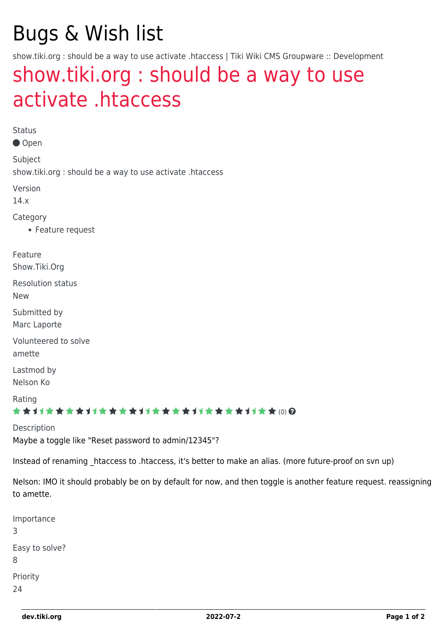# Bugs & Wish list

show.tiki.org : should be a way to use activate .htaccess | Tiki Wiki CMS Groupware :: Development

## [show.tiki.org : should be a way to use](https://dev.tiki.org/item4864-show-tiki-org-should-be-a-way-to-use-activate-htaccess) [activate .htaccess](https://dev.tiki.org/item4864-show-tiki-org-should-be-a-way-to-use-activate-htaccess)

Status

● Open

Subject show.tiki.org : should be a way to use activate .htaccess

Version

14.x

Category

Feature request

Feature

Show.Tiki.Org

Resolution status

New

Submitted by Marc Laporte

Volunteered to solve

amette

Lastmod by Nelson Ko

Rating

#### ★★オオ★★★★オオ★★★★オオ★★★★オオ★★★★1オ★★(0)@

Description

Maybe a toggle like "Reset password to admin/12345"?

Instead of renaming \_htaccess to .htaccess, it's better to make an alias. (more future-proof on svn up)

Nelson: IMO it should probably be on by default for now, and then toggle is another feature request. reassigning to amette.

Importance 3 Easy to solve? 8 Priority 24